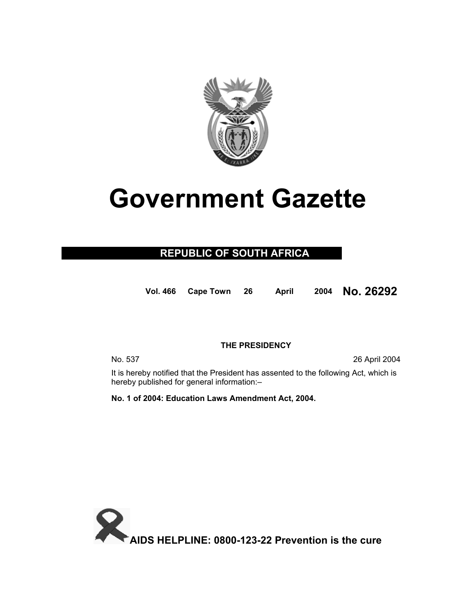

# **Government Gazette**

### **REPUBLIC OF SOUTH AFRICA**

**Vol. 466 Cape Town 26 April 2004 No. 26292**

#### **THE PRESIDENCY**

No. 537 26 April 2004

 It is hereby notified that the President has assented to the following Act, which is hereby published for general information:–

**No. 1 of 2004: Education Laws Amendment Act, 2004.** 

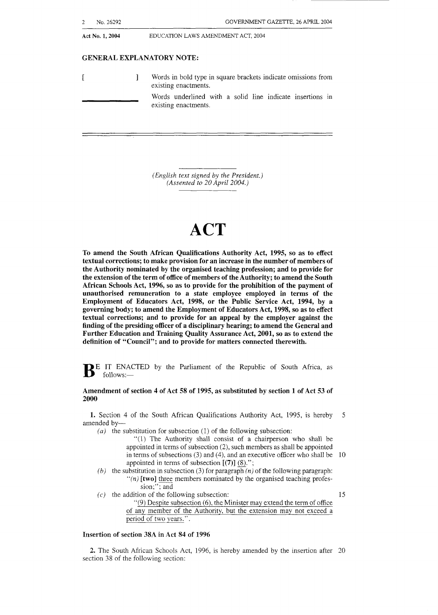| Act No. 1, 2004 | EDUCATION LAWS AMENDMENT ACT, 2004                                                    |  |  |  |  |
|-----------------|---------------------------------------------------------------------------------------|--|--|--|--|
|                 | <b>GENERAL EXPLANATORY NOTE:</b>                                                      |  |  |  |  |
|                 | Words in bold type in square brackets indicate omissions from<br>existing enactments. |  |  |  |  |
|                 | Words underlined with a solid line indicate insertions in<br>existing enactments.     |  |  |  |  |

*(English text signed by* **the** President.) *(Assented to 20 April 2004.)* 

## **ACT**

To amend the South African Qualifications Authority Act, **1995, so** as to effect textual corrections; to make provision for an increase in the number of members of the Authority nominated by the organised teaching profession; and to provide for the extension of the term of office of members of the Authority; to amend the South African Schools Act, **1996, so** as to provide for the prohibition of the payment of unauthorised remuneration to **a** state employee employed in terms of the Employment of Educators Act, **1998,** or the Public Service Act, **1994,** by a governing body; to amend the Employment of Educators Act, 1998, so as to effect textual corrections; and to provide for an appeal by the employer against the finding **of** the presiding officer of a disciplinary hearing; to amend the General and Further Education and Training Quality Assurance Act, **2001, so** as to extend the definition of "Council"; and to provide for matters connected therewith.

**B** E IT ENACTED by the Parliament of the Republic of South Africa, as follows:-

#### Amendment of section **4** of Act **58** of **1995,** as substituted by section **1** of Act **53** of **2000**

**1.** Section 4 of the South African Qualifications Authority Act, 1995, is hereby 5 amended by-

*(a)* the substitution for subsection (1) of the following subsection:

- "(1) The Authority shall consist of a chairperson who shall be appointed in terms of subsection (2), such members as shall be appointed in terms of subsections  $(3)$  and  $(4)$ , and an executive officer who shall be 10 appointed in terms of subsection **[(7)]** (8).";
- *(b)* the substitution in subsection (3) for paragraph  $(n)$  of the following paragraph: *"(n)* [two] three members nominated by the organised teaching profession;"; and
- $(c)$  the addition of the following subsection: 15  $(9)$  Despite subsection  $(6)$ , the Minister may extend the term of office of any member of the Authority, but the extension may not exceed a period of two years.".

#### Insertion of section **38A** in Act **84 of 1996**

*2.* The South African Schools Act, 1996, is hereby amended by the insertion after 20 section 38 of the following section: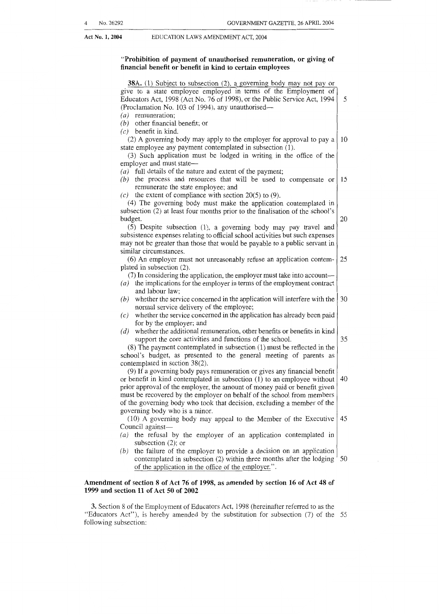#### Act No. 1, 2004 **EDUCATION LAWS AMENDMENT ACT, 2004**

#### **"Prohibition of payment of unauthorised remuneration, or giving of financial benetit or benetit in kind to certain employees**

| 38A. (1) Subject to subsection (2), a governing body may not pay or<br>give to a state employee employed in terms of the Employment of<br>Educators Act, 1998 (Act No. 76 of 1998), or the Public Service Act, 1994<br>(Proclamation No. 103 of 1994), any unauthorised- | 5  |
|--------------------------------------------------------------------------------------------------------------------------------------------------------------------------------------------------------------------------------------------------------------------------|----|
| remuneration;<br>(a)                                                                                                                                                                                                                                                     |    |
| $(b)$ other financial benefit; or<br>$(c)$ benefit in kind.                                                                                                                                                                                                              |    |
| (2) A governing body may apply to the employer for approval to pay a                                                                                                                                                                                                     | 10 |
| state employee any payment contemplated in subsection (1).                                                                                                                                                                                                               |    |
| (3) Such application must be lodged in writing in the office of the                                                                                                                                                                                                      |    |
| employer and must state-                                                                                                                                                                                                                                                 |    |
| $(a)$ full details of the nature and extent of the payment;                                                                                                                                                                                                              |    |
| $(b)$ the process and resources that will be used to compensate or                                                                                                                                                                                                       | 15 |
| remunerate the state employee; and                                                                                                                                                                                                                                       |    |
| (c) the extent of compliance with section 20(5) to (9).                                                                                                                                                                                                                  |    |
| (4) The governing body must make the application contemplated in                                                                                                                                                                                                         |    |
| subsection (2) at least four months prior to the finalisation of the school's                                                                                                                                                                                            |    |
| budget.                                                                                                                                                                                                                                                                  | 20 |
| (5) Despite subsection (1), a governing body may pay travel and                                                                                                                                                                                                          |    |
| subsistence expenses relating to official school activities but such expenses                                                                                                                                                                                            |    |
| may not be greater than those that would be payable to a public servant in                                                                                                                                                                                               |    |
| similar circumstances.                                                                                                                                                                                                                                                   |    |
| (6) An employer must not unreasonably refuse an application contem-                                                                                                                                                                                                      | 25 |
| plated in subsection $(2)$ .                                                                                                                                                                                                                                             |    |
| (7) In considering the application, the employer must take into account—                                                                                                                                                                                                 |    |
| $(a)$ the implications for the employer in terms of the employment contract                                                                                                                                                                                              |    |
| and labour law;<br>whether the service concerned in the application will interfere with the<br>(b)                                                                                                                                                                       | 30 |
| normal service delivery of the employee;                                                                                                                                                                                                                                 |    |
| whether the service concerned in the application has already been paid<br>(c)                                                                                                                                                                                            |    |
| for by the employer; and                                                                                                                                                                                                                                                 |    |
| whether the additional remuneration, other benefits or benefits in kind<br>(d)                                                                                                                                                                                           |    |
| support the core activities and functions of the school.                                                                                                                                                                                                                 | 35 |
| $(8)$ The payment contemplated in subsection $(1)$ must be reflected in the                                                                                                                                                                                              |    |
| school's budget, as presented to the general meeting of parents as                                                                                                                                                                                                       |    |
| contemplated in section 38(2).                                                                                                                                                                                                                                           |    |
| (9) If a governing body pays remuneration or gives any financial benefit                                                                                                                                                                                                 |    |
| or benefit in kind contemplated in subsection (1) to an employee without                                                                                                                                                                                                 | 40 |
| prior approval of the employer, the amount of money paid or benefit given                                                                                                                                                                                                |    |
| must be recovered by the employer on behalf of the school from members                                                                                                                                                                                                   |    |
| of the governing body who took that decision, excluding a member of the                                                                                                                                                                                                  |    |
| governing body who is a minor.                                                                                                                                                                                                                                           |    |
| (10) A governing body may appeal to the Member of the Executive                                                                                                                                                                                                          | 45 |
| Council against-                                                                                                                                                                                                                                                         |    |
| $(a)$ the refusal by the employer of an application contemplated in                                                                                                                                                                                                      |    |
| subsection $(2)$ ; or                                                                                                                                                                                                                                                    |    |
| the failure of the employer to provide a decision on an application<br>(b)<br>contemplated in subsection (2) within three months after the lodging                                                                                                                       | 50 |
| of the application in the office of the employer.".                                                                                                                                                                                                                      |    |
|                                                                                                                                                                                                                                                                          |    |
| Amendment of section 8 of Act 76 of 1998, as amended by section 16 of Act 48 of                                                                                                                                                                                          |    |

*3.* Section 8 of the Empioyment of Educators Act, 1998 (hereinafter referred to as the "Educators Act"), is hereby amended by the substitution for subsection (7) of the 55 foliowing subsection:

**1999 and section 11 of Act 50 of 2002**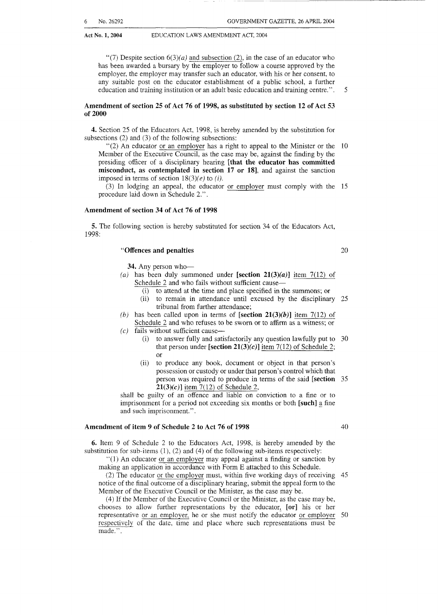**Act No. 1, 2004** EDUCATION LAWS AMENDMENT ACT, 2004

"(7) Despite section  $6(3)(a)$  and subsection (2), in the case of an educator who has been awarded a bursary by the employer to follow a course approved by the employer, the employer may transfer such an educator, with his or her consent, to any suitable post on the educator establishment of a public school, a further education and training institution or an adult basic education and training centre.". 5

#### **Amendment of section 25 of Act 76 of 1998, as substituted by section 12 of Act 53 of 2000**

**4.** Section 25 of the Educators Act, 1998, is hereby amended by the substitution for subsections (2) and (3) of the following subsections:

"(2) An educator or an employer has a right to appeal to the Minister or the 10 Member of the Executive Council, as the case may be, against the finding by the presiding officer of a disciplinary hearing **[that the educator has committed misconduct, as contemplated in section 17 or 181,** and against the sanction imposed in terms of section  $18(3)(e)$  to *(i)*.

procedure laid down in Schedule 2.". (3) In lodging an appeal, the educator or employer must comply with the 15

#### **Amendment of section 34 of Act 76 of 1998**

**5.** The following section is hereby substituted for section 34 of the Educators Act, 1998:

#### **"Offences and penalties** 20

**34.** Any person who-

- (a) has been duly summoned under **[section 21(3)(a)]** item  $7(12)$  of Schedule 2 and who fails without sufficient cause-
	- (i) to attend at the time and place specified in the summons; or
	- (ii) to remain in attendance until excused by the disciplinary 25 tribunal from further attendance;
- (b) has been called upon in terms of  $[section 21(3)(b)]$  item 7(12) of Schedule *2* and who refuses to be sworn or to affirm as a witness; or
- $(c)$  fails without sufficient cause-
	- (i) to answer fully and satisfactorily any question lawfully put to 30 that person under  $[section 21(3)(c)]$  item 7(12) of Schedule 2; or
	- (ii) to produce any book, document or object in that person's possession or custody or under that person's control which that person was required to produce in terms of the said **[section** 35 **21(3)(c)]** item *7(* 12) of Schedule 2,

shall be guilty of an offence and liable on conviction to a fine or to imprisonment for a period not exceeding six months or both **[such]** *3* fine and such imprisonment.".

#### **Amendment of item 9 of Schedule 2 to Act 76 of 1998** 40

**6.** Item 9 of Schedule *2* to the Educators Act, 1998, is hereby amended by the substitution for sub-items  $(1)$ ,  $(2)$  and  $(4)$  of the following sub-items respectively:

.'(I) An educator or an employer may appeal against a finding or sanction by making an application in accordance with Form E attached to this Schedule.

(2) The educator or the employer must, within five working days of receiving 45 notice of the final outcome of a disciplinary hearing, submit the appeal form to the Member of the Executive Council or the Minister, as the case may be.

(4) If the Member of the Executive Council or the Minister, as the case may be, chooses to allow further representations by the educator, **[or]** his or her representative or an employer, he or she must notify the educator or employer 50 respectively of the date, time and place where such representations must be made.".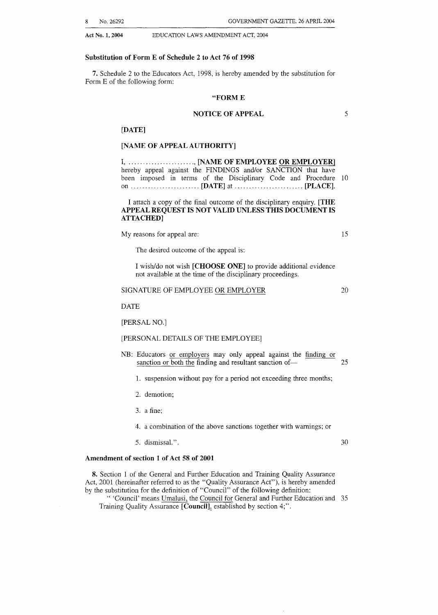8 No. 26292 GOVERNMENT GAZE'ITE, 26 APRIL 2004

**Act No. 1,2004** EDUCATION LAWS AMENDMENT ACT, 2004

#### **Substitution of Form E of Schedule 2 to Act 76 of 1998**

**7.** Schedule 2 to the Educators Act, 1998, is hereby amended by the substitution for Form E of the following form:

#### **"FORM E**

#### **NOTICE OF APPEAL** *5*

#### **[DATE]**

#### **[NAME OF APPEAL AUTHORITY]**

| I, , [NAME OF EMPLOYEE OR EMPLOYER]                             |  |  |  |
|-----------------------------------------------------------------|--|--|--|
| hereby appeal against the FINDINGS and/or SANCTION that have    |  |  |  |
| been imposed in terms of the Disciplinary Code and Procedure 10 |  |  |  |
| on $\ldots$ [DATE] at $\ldots$ [PLACE].                         |  |  |  |

I attach a copy of the final outcome of the disciplinary enquiry. **[THE APPEAL REQUEST IS NOT VALID UNLESS THIS DOCUMENT IS ATTACHED]** 

My reasons for appeal are: 15

The desired outcome of the appeal is:

I wisWdo not wish **[CHOOSE ONE]** to provide additional evidence not available at the time of the disciplinary proceedings.

#### SIGNATURE OF EMPLOYEE OR EMPLOYER

DATE

[PERSAL NO.]

#### [PERSONAL DETAILS OF THE EMPLOYEE]

- NB: Educators or employers may only appeal against the finding or sanction or both the finding and resultant sanction of  $\frac{25}{25}$ 
	- 1. suspension without pay for a period not exceeding three months;
	- 2. demotion;
	- *3.* a fine:

4. a combination of the above sanctions together with warnings; or

5. dismissal.". 30

20

#### **Amendment of section 1 of Act 58 of 2001**

**8.** Section 1 of the General and Further Education and Training Quality Assurance Act, 2001 (hereinafter referred to as the "Quality Assurance Act"), is hereby amended by the substitution for the definition of "Council" of the following definition:

*'I* 'Council' means Umalusi, the Council for General and Further Education and *35*  Training Quality Assurance [Council], established by section 4;".